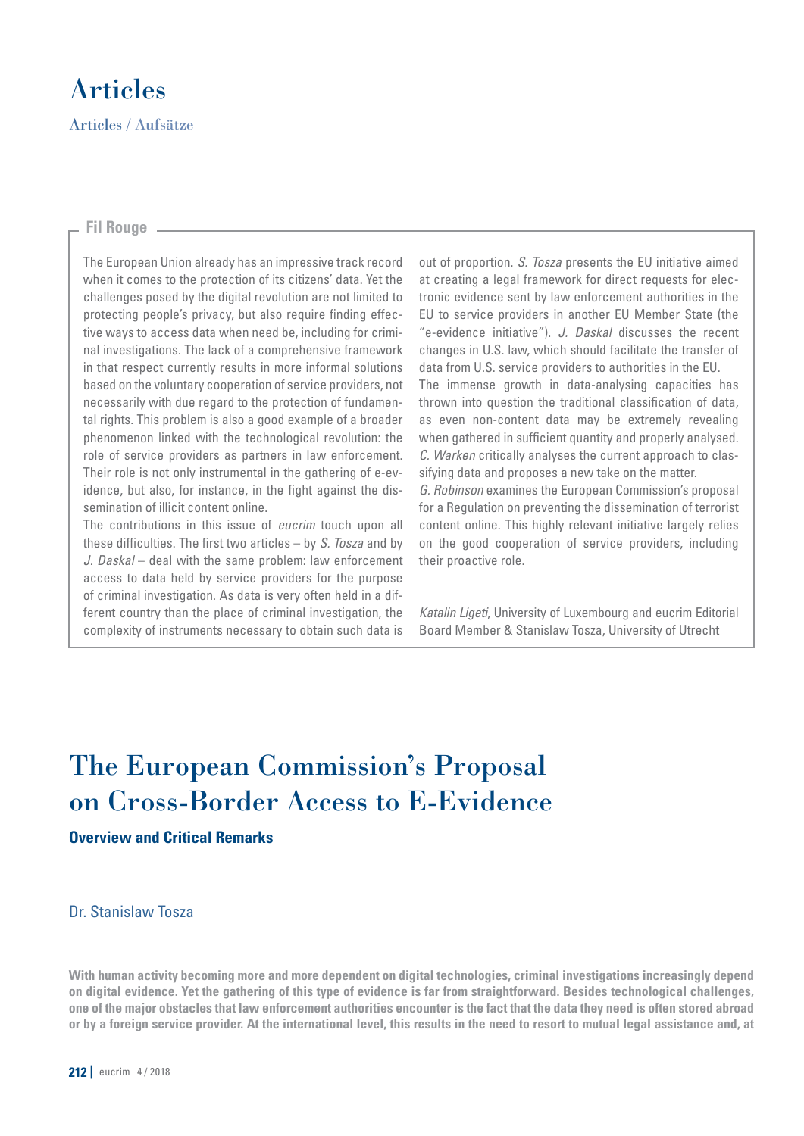

# **Fil Rouge**

The European Union already has an impressive track record when it comes to the protection of its citizens' data. Yet the challenges posed by the digital revolution are not limited to protecting people's privacy, but also require finding effective ways to access data when need be, including for criminal investigations. The lack of a comprehensive framework in that respect currently results in more informal solutions based on the voluntary cooperation of service providers, not necessarily with due regard to the protection of fundamental rights. This problem is also a good example of a broader phenomenon linked with the technological revolution: the role of service providers as partners in law enforcement. Their role is not only instrumental in the gathering of e-evidence, but also, for instance, in the fight against the dissemination of illicit content online.

The contributions in this issue of *eucrim* touch upon all these difficulties. The first two articles  $-$  by S. Tosza and by J. Daskal – deal with the same problem: law enforcement access to data held by service providers for the purpose of criminal investigation. As data is very often held in a different country than the place of criminal investigation, the complexity of instruments necessary to obtain such data is out of proportion. S. Tosza presents the EU initiative aimed at creating a legal framework for direct requests for electronic evidence sent by law enforcement authorities in the EU to service providers in another EU Member State (the "e-evidence initiative"). J. Daskal discusses the recent changes in U.S. law, which should facilitate the transfer of data from U.S. service providers to authorities in the EU. The immense growth in data-analysing capacities has thrown into question the traditional classification of data, as even non-content data may be extremely revealing when gathered in sufficient quantity and properly analysed. C. Warken critically analyses the current approach to classifying data and proposes a new take on the matter. G. Robinson examines the European Commission's proposal for a Regulation on preventing the dissemination of terrorist content online. This highly relevant initiative largely relies on the good cooperation of service providers, including their proactive role.

Katalin Ligeti, University of Luxembourg and eucrim Editorial Board Member & Stanislaw Tosza, University of Utrecht

# The European Commission's Proposal on Cross-Border Access to E-Evidence

# **Overview and Critical Remarks**

# Dr. Stanislaw Tosza

**With human activity becoming more and more dependent on digital technologies, criminal investigations increasingly depend on digital evidence. Yet the gathering of this type of evidence is far from straightforward. Besides technological challenges, one of the major obstacles that law enforcement authorities encounter is the fact that the data they need is often stored abroad or by a foreign service provider. At the international level, this results in the need to resort to mutual legal assistance and, at**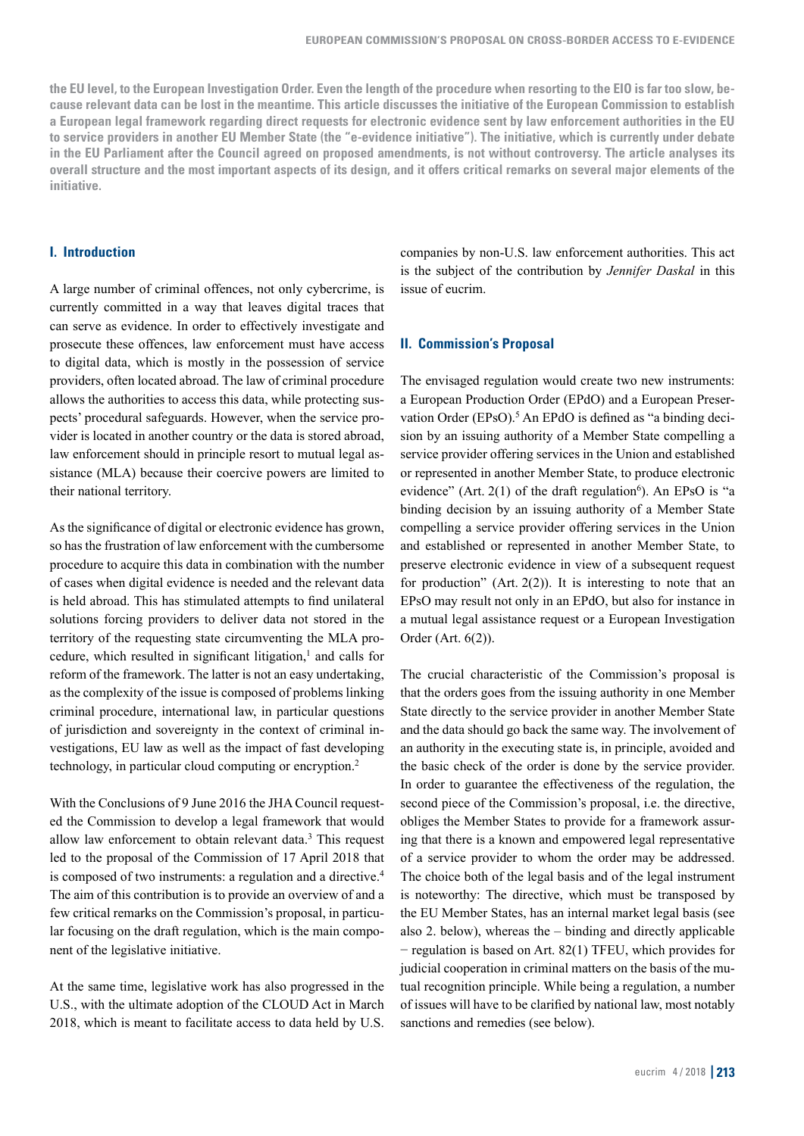**the EU level, to the European Investigation Order. Even the length of the procedure when resorting to the EIO is far too slow, because relevant data can be lost in the meantime. This article discusses the initiative of the European Commission to establish a European legal framework regarding direct requests for electronic evidence sent by law enforcement authorities in the EU to service providers in another EU Member State (the "e-evidence initiative"). The initiative, which is currently under debate in the EU Parliament after the Council agreed on proposed amendments, is not without controversy. The article analyses its overall structure and the most important aspects of its design, and it offers critical remarks on several major elements of the initiative.**

# **I. Introduction**

A large number of criminal offences, not only cybercrime, is currently committed in a way that leaves digital traces that can serve as evidence. In order to effectively investigate and prosecute these offences, law enforcement must have access to digital data, which is mostly in the possession of service providers, often located abroad. The law of criminal procedure allows the authorities to access this data, while protecting suspects' procedural safeguards. However, when the service provider is located in another country or the data is stored abroad, law enforcement should in principle resort to mutual legal assistance (MLA) because their coercive powers are limited to their national territory.

As the significance of digital or electronic evidence has grown, so has the frustration of law enforcement with the cumbersome procedure to acquire this data in combination with the number of cases when digital evidence is needed and the relevant data is held abroad. This has stimulated attempts to find unilateral solutions forcing providers to deliver data not stored in the territory of the requesting state circumventing the MLA procedure, which resulted in significant litigation, $<sup>1</sup>$  and calls for</sup> reform of the framework. The latter is not an easy undertaking, as the complexity of the issue is composed of problems linking criminal procedure, international law, in particular questions of jurisdiction and sovereignty in the context of criminal investigations, EU law as well as the impact of fast developing technology, in particular cloud computing or encryption.2

With the Conclusions of 9 June 2016 the JHA Council requested the Commission to develop a legal framework that would allow law enforcement to obtain relevant data.<sup>3</sup> This request led to the proposal of the Commission of 17 April 2018 that is composed of two instruments: a regulation and a directive.<sup>4</sup> The aim of this contribution is to provide an overview of and a few critical remarks on the Commission's proposal, in particular focusing on the draft regulation, which is the main component of the legislative initiative.

At the same time, legislative work has also progressed in the U.S., with the ultimate adoption of the CLOUD Act in March 2018, which is meant to facilitate access to data held by U.S. companies by non-U.S. law enforcement authorities. This act is the subject of the contribution by *Jennifer Daskal* in this issue of eucrim.

#### **II. Commission's Proposal**

The envisaged regulation would create two new instruments: a European Production Order (EPdO) and a European Preservation Order (EPsO).<sup>5</sup> An EPdO is defined as "a binding decision by an issuing authority of a Member State compelling a service provider offering services in the Union and established or represented in another Member State, to produce electronic evidence" (Art.  $2(1)$  of the draft regulation<sup>6</sup>). An EPsO is "a binding decision by an issuing authority of a Member State compelling a service provider offering services in the Union and established or represented in another Member State, to preserve electronic evidence in view of a subsequent request for production" (Art.  $2(2)$ ). It is interesting to note that an EPsO may result not only in an EPdO, but also for instance in a mutual legal assistance request or a European Investigation Order (Art. 6(2)).

The crucial characteristic of the Commission's proposal is that the orders goes from the issuing authority in one Member State directly to the service provider in another Member State and the data should go back the same way. The involvement of an authority in the executing state is, in principle, avoided and the basic check of the order is done by the service provider. In order to guarantee the effectiveness of the regulation, the second piece of the Commission's proposal, i.e. the directive, obliges the Member States to provide for a framework assuring that there is a known and empowered legal representative of a service provider to whom the order may be addressed. The choice both of the legal basis and of the legal instrument is noteworthy: The directive, which must be transposed by the EU Member States, has an internal market legal basis (see also 2. below), whereas the – binding and directly applicable − regulation is based on Art. 82(1) TFEU, which provides for judicial cooperation in criminal matters on the basis of the mutual recognition principle. While being a regulation, a number of issues will have to be clarified by national law, most notably sanctions and remedies (see below).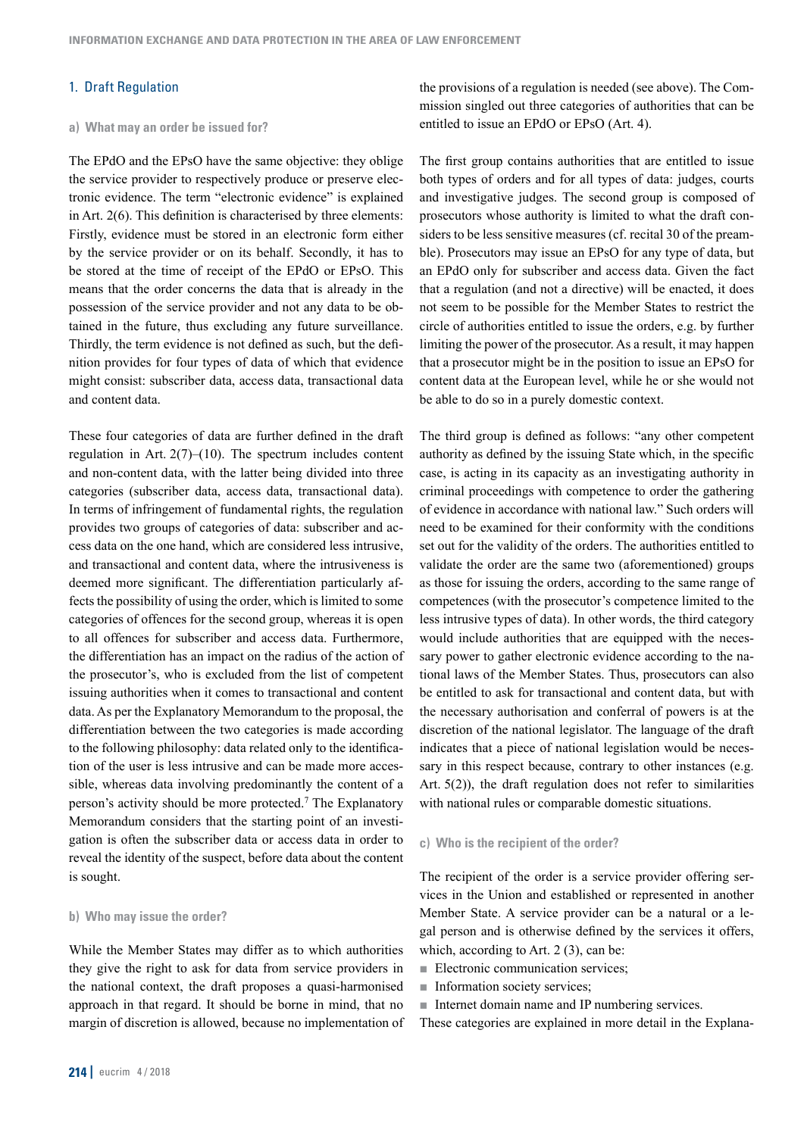# 1. Draft Regulation

## **a)  What may an order be issued for?**

The EPdO and the EPsO have the same objective: they oblige the service provider to respectively produce or preserve electronic evidence. The term "electronic evidence" is explained in Art. 2(6). This definition is characterised by three elements: Firstly, evidence must be stored in an electronic form either by the service provider or on its behalf. Secondly, it has to be stored at the time of receipt of the EPdO or EPsO. This means that the order concerns the data that is already in the possession of the service provider and not any data to be obtained in the future, thus excluding any future surveillance. Thirdly, the term evidence is not defined as such, but the definition provides for four types of data of which that evidence might consist: subscriber data, access data, transactional data and content data.

These four categories of data are further defined in the draft regulation in Art. 2(7)–(10). The spectrum includes content and non-content data, with the latter being divided into three categories (subscriber data, access data, transactional data). In terms of infringement of fundamental rights, the regulation provides two groups of categories of data: subscriber and access data on the one hand, which are considered less intrusive, and transactional and content data, where the intrusiveness is deemed more significant. The differentiation particularly affects the possibility of using the order, which is limited to some categories of offences for the second group, whereas it is open to all offences for subscriber and access data. Furthermore, the differentiation has an impact on the radius of the action of the prosecutor's, who is excluded from the list of competent issuing authorities when it comes to transactional and content data. As per the Explanatory Memorandum to the proposal, the differentiation between the two categories is made according to the following philosophy: data related only to the identification of the user is less intrusive and can be made more accessible, whereas data involving predominantly the content of a person's activity should be more protected.7 The Explanatory Memorandum considers that the starting point of an investigation is often the subscriber data or access data in order to reveal the identity of the suspect, before data about the content is sought.

# **b)  Who may issue the order?**

While the Member States may differ as to which authorities they give the right to ask for data from service providers in the national context, the draft proposes a quasi-harmonised approach in that regard. It should be borne in mind, that no margin of discretion is allowed, because no implementation of the provisions of a regulation is needed (see above). The Commission singled out three categories of authorities that can be entitled to issue an EPdO or EPsO (Art. 4).

The first group contains authorities that are entitled to issue both types of orders and for all types of data: judges, courts and investigative judges. The second group is composed of prosecutors whose authority is limited to what the draft considers to be less sensitive measures (cf. recital 30 of the preamble). Prosecutors may issue an EPsO for any type of data, but an EPdO only for subscriber and access data. Given the fact that a regulation (and not a directive) will be enacted, it does not seem to be possible for the Member States to restrict the circle of authorities entitled to issue the orders, e.g. by further limiting the power of the prosecutor. As a result, it may happen that a prosecutor might be in the position to issue an EPsO for content data at the European level, while he or she would not be able to do so in a purely domestic context.

The third group is defined as follows: "any other competent authority as defined by the issuing State which, in the specific case, is acting in its capacity as an investigating authority in criminal proceedings with competence to order the gathering of evidence in accordance with national law." Such orders will need to be examined for their conformity with the conditions set out for the validity of the orders. The authorities entitled to validate the order are the same two (aforementioned) groups as those for issuing the orders, according to the same range of competences (with the prosecutor's competence limited to the less intrusive types of data). In other words, the third category would include authorities that are equipped with the necessary power to gather electronic evidence according to the national laws of the Member States. Thus, prosecutors can also be entitled to ask for transactional and content data, but with the necessary authorisation and conferral of powers is at the discretion of the national legislator. The language of the draft indicates that a piece of national legislation would be necessary in this respect because, contrary to other instances (e.g. Art. 5(2)), the draft regulation does not refer to similarities with national rules or comparable domestic situations.

#### **c)  Who is the recipient of the order?**

The recipient of the order is a service provider offering services in the Union and established or represented in another Member State. A service provider can be a natural or a legal person and is otherwise defined by the services it offers, which, according to Art. 2 (3), can be:

- Electronic communication services:
- $\blacksquare$  Information society services;
- Internet domain name and IP numbering services.

These categories are explained in more detail in the Explana-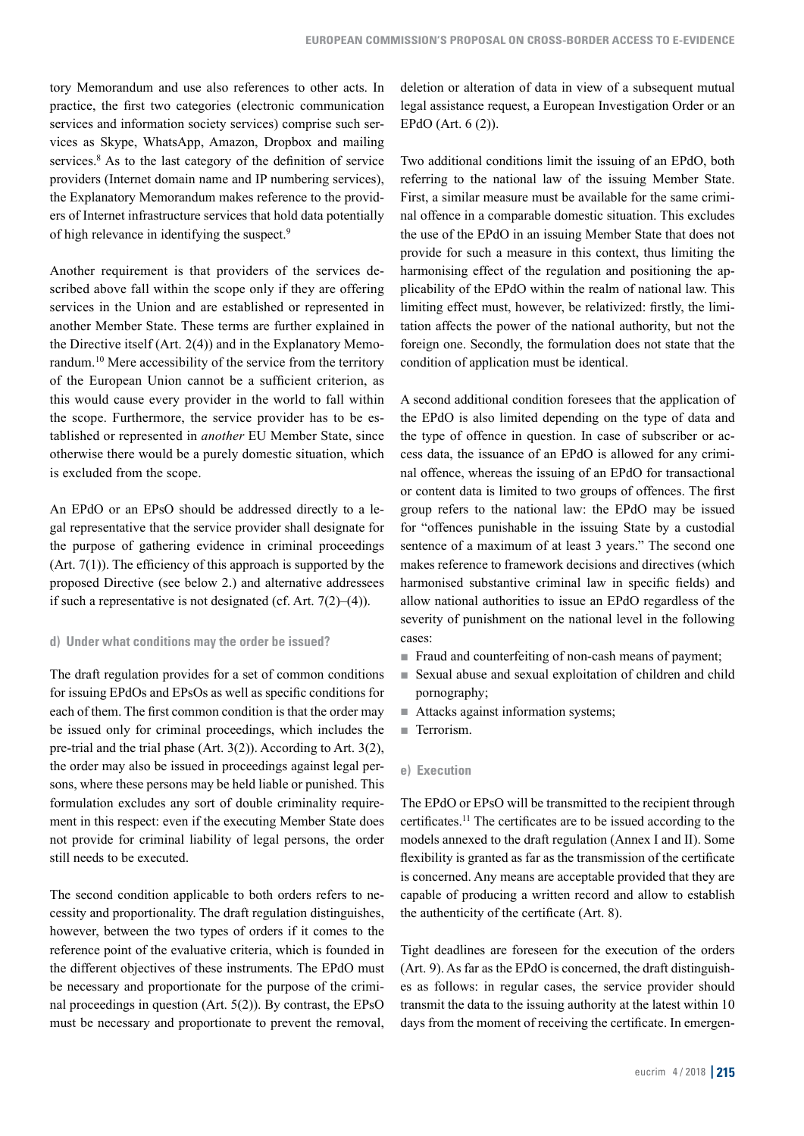tory Memorandum and use also references to other acts. In practice, the first two categories (electronic communication services and information society services) comprise such services as Skype, WhatsApp, Amazon, Dropbox and mailing services.<sup>8</sup> As to the last category of the definition of service providers (Internet domain name and IP numbering services), the Explanatory Memorandum makes reference to the providers of Internet infrastructure services that hold data potentially of high relevance in identifying the suspect.9

Another requirement is that providers of the services described above fall within the scope only if they are offering services in the Union and are established or represented in another Member State. These terms are further explained in the Directive itself (Art. 2(4)) and in the Explanatory Memorandum.10 Mere accessibility of the service from the territory of the European Union cannot be a sufficient criterion, as this would cause every provider in the world to fall within the scope. Furthermore, the service provider has to be established or represented in *another* EU Member State, since otherwise there would be a purely domestic situation, which is excluded from the scope.

An EPdO or an EPsO should be addressed directly to a legal representative that the service provider shall designate for the purpose of gathering evidence in criminal proceedings  $(Art. 7(1))$ . The efficiency of this approach is supported by the proposed Directive (see below 2.) and alternative addressees if such a representative is not designated (cf. Art.  $7(2)$ – $(4)$ ).

### **d)  Under what conditions may the order be issued?**

The draft regulation provides for a set of common conditions for issuing EPdOs and EPsOs as well as specific conditions for each of them. The first common condition is that the order may be issued only for criminal proceedings, which includes the pre-trial and the trial phase (Art. 3(2)). According to Art. 3(2), the order may also be issued in proceedings against legal persons, where these persons may be held liable or punished. This formulation excludes any sort of double criminality requirement in this respect: even if the executing Member State does not provide for criminal liability of legal persons, the order still needs to be executed.

The second condition applicable to both orders refers to necessity and proportionality. The draft regulation distinguishes, however, between the two types of orders if it comes to the reference point of the evaluative criteria, which is founded in the different objectives of these instruments. The EPdO must be necessary and proportionate for the purpose of the criminal proceedings in question (Art. 5(2)). By contrast, the EPsO must be necessary and proportionate to prevent the removal, deletion or alteration of data in view of a subsequent mutual legal assistance request, a European Investigation Order or an EPdO (Art. 6 (2)).

Two additional conditions limit the issuing of an EPdO, both referring to the national law of the issuing Member State. First, a similar measure must be available for the same criminal offence in a comparable domestic situation. This excludes the use of the EPdO in an issuing Member State that does not provide for such a measure in this context, thus limiting the harmonising effect of the regulation and positioning the applicability of the EPdO within the realm of national law. This limiting effect must, however, be relativized: firstly, the limitation affects the power of the national authority, but not the foreign one. Secondly, the formulation does not state that the condition of application must be identical.

A second additional condition foresees that the application of the EPdO is also limited depending on the type of data and the type of offence in question. In case of subscriber or access data, the issuance of an EPdO is allowed for any criminal offence, whereas the issuing of an EPdO for transactional or content data is limited to two groups of offences. The first group refers to the national law: the EPdO may be issued for "offences punishable in the issuing State by a custodial sentence of a maximum of at least 3 years." The second one makes reference to framework decisions and directives (which harmonised substantive criminal law in specific fields) and allow national authorities to issue an EPdO regardless of the severity of punishment on the national level in the following cases:

- Fraud and counterfeiting of non-cash means of payment;
- Sexual abuse and sexual exploitation of children and child pornography;
- Attacks against information systems;
- **Terrorism.**

#### **e) Execution**

The EPdO or EPsO will be transmitted to the recipient through certificates.<sup>11</sup> The certificates are to be issued according to the models annexed to the draft regulation (Annex I and II). Some flexibility is granted as far as the transmission of the certificate is concerned. Any means are acceptable provided that they are capable of producing a written record and allow to establish the authenticity of the certificate (Art. 8).

Tight deadlines are foreseen for the execution of the orders (Art. 9). As far as the EPdO is concerned, the draft distinguishes as follows: in regular cases, the service provider should transmit the data to the issuing authority at the latest within 10 days from the moment of receiving the certificate. In emergen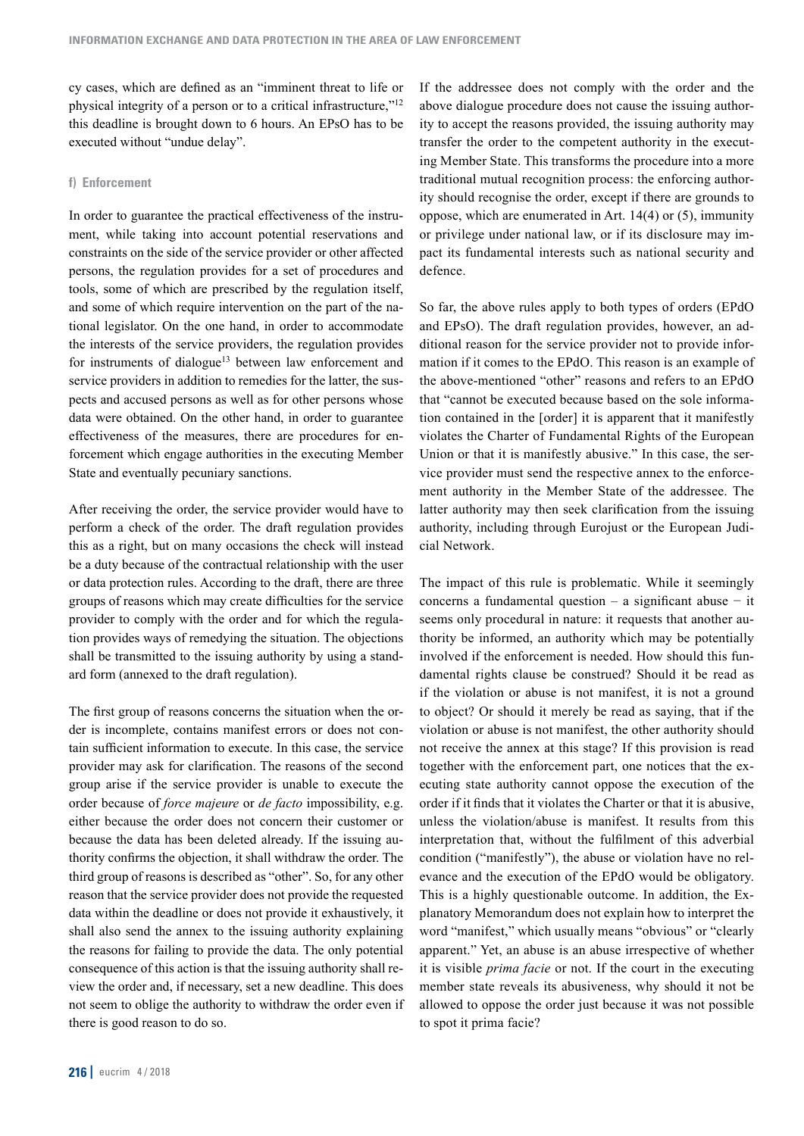cy cases, which are defined as an "imminent threat to life or physical integrity of a person or to a critical infrastructure,"12 this deadline is brought down to 6 hours. An EPsO has to be executed without "undue delay".

#### **f) Enforcement**

In order to guarantee the practical effectiveness of the instrument, while taking into account potential reservations and constraints on the side of the service provider or other affected persons, the regulation provides for a set of procedures and tools, some of which are prescribed by the regulation itself, and some of which require intervention on the part of the national legislator. On the one hand, in order to accommodate the interests of the service providers, the regulation provides for instruments of dialogue<sup>13</sup> between law enforcement and service providers in addition to remedies for the latter, the suspects and accused persons as well as for other persons whose data were obtained. On the other hand, in order to guarantee effectiveness of the measures, there are procedures for enforcement which engage authorities in the executing Member State and eventually pecuniary sanctions.

After receiving the order, the service provider would have to perform a check of the order. The draft regulation provides this as a right, but on many occasions the check will instead be a duty because of the contractual relationship with the user or data protection rules. According to the draft, there are three groups of reasons which may create difficulties for the service provider to comply with the order and for which the regulation provides ways of remedying the situation. The objections shall be transmitted to the issuing authority by using a standard form (annexed to the draft regulation).

The first group of reasons concerns the situation when the order is incomplete, contains manifest errors or does not contain sufficient information to execute. In this case, the service provider may ask for clarification. The reasons of the second group arise if the service provider is unable to execute the order because of *force majeure* or *de facto* impossibility, e.g. either because the order does not concern their customer or because the data has been deleted already. If the issuing authority confirms the objection, it shall withdraw the order. The third group of reasons is described as "other". So, for any other reason that the service provider does not provide the requested data within the deadline or does not provide it exhaustively, it shall also send the annex to the issuing authority explaining the reasons for failing to provide the data. The only potential consequence of this action is that the issuing authority shall review the order and, if necessary, set a new deadline. This does not seem to oblige the authority to withdraw the order even if there is good reason to do so.

If the addressee does not comply with the order and the above dialogue procedure does not cause the issuing authority to accept the reasons provided, the issuing authority may transfer the order to the competent authority in the executing Member State. This transforms the procedure into a more traditional mutual recognition process: the enforcing authority should recognise the order, except if there are grounds to oppose, which are enumerated in Art. 14(4) or (5), immunity or privilege under national law, or if its disclosure may impact its fundamental interests such as national security and defence.

So far, the above rules apply to both types of orders (EPdO and EPsO). The draft regulation provides, however, an additional reason for the service provider not to provide information if it comes to the EPdO. This reason is an example of the above-mentioned "other" reasons and refers to an EPdO that "cannot be executed because based on the sole information contained in the [order] it is apparent that it manifestly violates the Charter of Fundamental Rights of the European Union or that it is manifestly abusive." In this case, the service provider must send the respective annex to the enforcement authority in the Member State of the addressee. The latter authority may then seek clarification from the issuing authority, including through Eurojust or the European Judicial Network.

The impact of this rule is problematic. While it seemingly concerns a fundamental question – a significant abuse − it seems only procedural in nature: it requests that another authority be informed, an authority which may be potentially involved if the enforcement is needed. How should this fundamental rights clause be construed? Should it be read as if the violation or abuse is not manifest, it is not a ground to object? Or should it merely be read as saying, that if the violation or abuse is not manifest, the other authority should not receive the annex at this stage? If this provision is read together with the enforcement part, one notices that the executing state authority cannot oppose the execution of the order if it finds that it violates the Charter or that it is abusive, unless the violation/abuse is manifest. It results from this interpretation that, without the fulfilment of this adverbial condition ("manifestly"), the abuse or violation have no relevance and the execution of the EPdO would be obligatory. This is a highly questionable outcome. In addition, the Explanatory Memorandum does not explain how to interpret the word "manifest," which usually means "obvious" or "clearly apparent." Yet, an abuse is an abuse irrespective of whether it is visible *prima facie* or not. If the court in the executing member state reveals its abusiveness, why should it not be allowed to oppose the order just because it was not possible to spot it prima facie?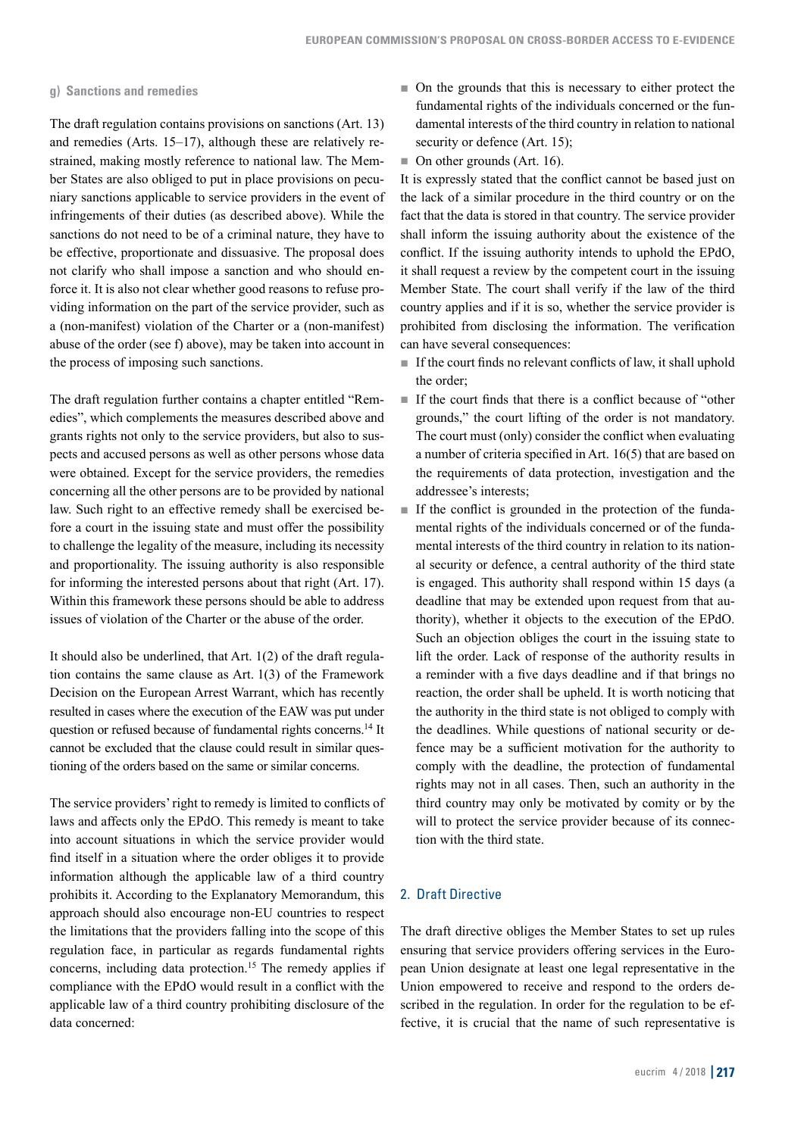#### **g) Sanctions and remedies**

The draft regulation contains provisions on sanctions (Art. 13) and remedies (Arts. 15–17), although these are relatively restrained, making mostly reference to national law. The Member States are also obliged to put in place provisions on pecuniary sanctions applicable to service providers in the event of infringements of their duties (as described above). While the sanctions do not need to be of a criminal nature, they have to be effective, proportionate and dissuasive. The proposal does not clarify who shall impose a sanction and who should enforce it. It is also not clear whether good reasons to refuse providing information on the part of the service provider, such as a (non-manifest) violation of the Charter or a (non-manifest) abuse of the order (see f) above), may be taken into account in the process of imposing such sanctions.

The draft regulation further contains a chapter entitled "Remedies", which complements the measures described above and grants rights not only to the service providers, but also to suspects and accused persons as well as other persons whose data were obtained. Except for the service providers, the remedies concerning all the other persons are to be provided by national law. Such right to an effective remedy shall be exercised before a court in the issuing state and must offer the possibility to challenge the legality of the measure, including its necessity and proportionality. The issuing authority is also responsible for informing the interested persons about that right (Art. 17). Within this framework these persons should be able to address issues of violation of the Charter or the abuse of the order.

It should also be underlined, that Art. 1(2) of the draft regulation contains the same clause as Art. 1(3) of the Framework Decision on the European Arrest Warrant, which has recently resulted in cases where the execution of the EAW was put under question or refused because of fundamental rights concerns.14 It cannot be excluded that the clause could result in similar questioning of the orders based on the same or similar concerns.

The service providers' right to remedy is limited to conflicts of laws and affects only the EPdO. This remedy is meant to take into account situations in which the service provider would find itself in a situation where the order obliges it to provide information although the applicable law of a third country prohibits it. According to the Explanatory Memorandum, this approach should also encourage non-EU countries to respect the limitations that the providers falling into the scope of this regulation face, in particular as regards fundamental rights concerns, including data protection.15 The remedy applies if compliance with the EPdO would result in a conflict with the applicable law of a third country prohibiting disclosure of the data concerned:

- On the grounds that this is necessary to either protect the fundamental rights of the individuals concerned or the fundamental interests of the third country in relation to national security or defence (Art. 15);
- $\blacksquare$  On other grounds (Art. 16).

It is expressly stated that the conflict cannot be based just on the lack of a similar procedure in the third country or on the fact that the data is stored in that country. The service provider shall inform the issuing authority about the existence of the conflict. If the issuing authority intends to uphold the EPdO, it shall request a review by the competent court in the issuing Member State. The court shall verify if the law of the third country applies and if it is so, whether the service provider is prohibited from disclosing the information. The verification can have several consequences:

- $\blacksquare$  If the court finds no relevant conflicts of law, it shall uphold the order;
- If the court finds that there is a conflict because of "other grounds," the court lifting of the order is not mandatory. The court must (only) consider the conflict when evaluating a number of criteria specified in Art. 16(5) that are based on the requirements of data protection, investigation and the addressee's interests;
- $\blacksquare$  If the conflict is grounded in the protection of the fundamental rights of the individuals concerned or of the fundamental interests of the third country in relation to its national security or defence, a central authority of the third state is engaged. This authority shall respond within 15 days (a deadline that may be extended upon request from that authority), whether it objects to the execution of the EPdO. Such an objection obliges the court in the issuing state to lift the order. Lack of response of the authority results in a reminder with a five days deadline and if that brings no reaction, the order shall be upheld. It is worth noticing that the authority in the third state is not obliged to comply with the deadlines. While questions of national security or defence may be a sufficient motivation for the authority to comply with the deadline, the protection of fundamental rights may not in all cases. Then, such an authority in the third country may only be motivated by comity or by the will to protect the service provider because of its connection with the third state.

# 2. Draft Directive

The draft directive obliges the Member States to set up rules ensuring that service providers offering services in the European Union designate at least one legal representative in the Union empowered to receive and respond to the orders described in the regulation. In order for the regulation to be effective, it is crucial that the name of such representative is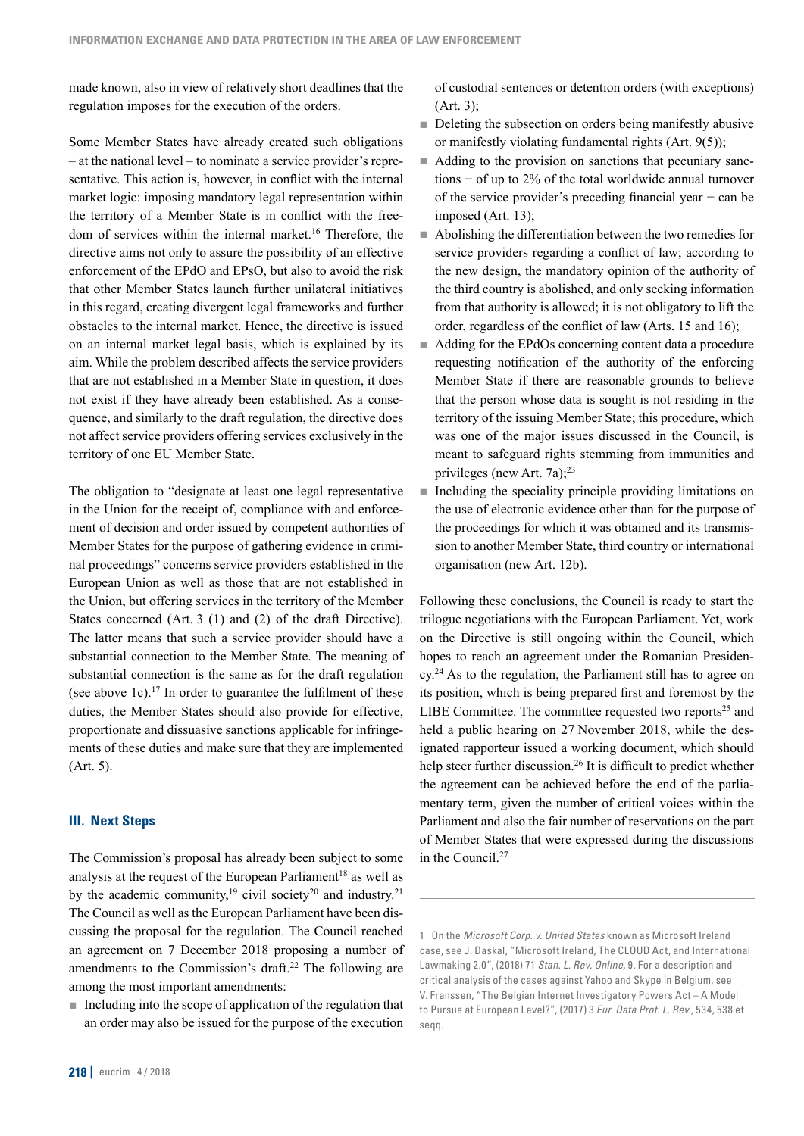made known, also in view of relatively short deadlines that the regulation imposes for the execution of the orders.

Some Member States have already created such obligations – at the national level – to nominate a service provider's representative. This action is, however, in conflict with the internal market logic: imposing mandatory legal representation within the territory of a Member State is in conflict with the freedom of services within the internal market.<sup>16</sup> Therefore, the directive aims not only to assure the possibility of an effective enforcement of the EPdO and EPsO, but also to avoid the risk that other Member States launch further unilateral initiatives in this regard, creating divergent legal frameworks and further obstacles to the internal market. Hence, the directive is issued on an internal market legal basis, which is explained by its aim. While the problem described affects the service providers that are not established in a Member State in question, it does not exist if they have already been established. As a consequence, and similarly to the draft regulation, the directive does not affect service providers offering services exclusively in the territory of one EU Member State.

The obligation to "designate at least one legal representative in the Union for the receipt of, compliance with and enforcement of decision and order issued by competent authorities of Member States for the purpose of gathering evidence in criminal proceedings" concerns service providers established in the European Union as well as those that are not established in the Union, but offering services in the territory of the Member States concerned (Art. 3 (1) and (2) of the draft Directive). The latter means that such a service provider should have a substantial connection to the Member State. The meaning of substantial connection is the same as for the draft regulation (see above 1c).<sup>17</sup> In order to guarantee the fulfilment of these duties, the Member States should also provide for effective, proportionate and dissuasive sanctions applicable for infringements of these duties and make sure that they are implemented (Art. 5).

# **III. Next Steps**

The Commission's proposal has already been subject to some analysis at the request of the European Parliament<sup>18</sup> as well as by the academic community,<sup>19</sup> civil society<sup>20</sup> and industry.<sup>21</sup> The Council as well as the European Parliament have been discussing the proposal for the regulation. The Council reached an agreement on 7 December 2018 proposing a number of amendments to the Commission's draft.22 The following are among the most important amendments:

 $\blacksquare$  Including into the scope of application of the regulation that an order may also be issued for the purpose of the execution of custodial sentences or detention orders (with exceptions) (Art. 3);

- Deleting the subsection on orders being manifestly abusive or manifestly violating fundamental rights (Art. 9(5));
- Adding to the provision on sanctions that pecuniary sanctions − of up to 2% of the total worldwide annual turnover of the service provider's preceding financial year − can be imposed (Art. 13);
- Abolishing the differentiation between the two remedies for service providers regarding a conflict of law; according to the new design, the mandatory opinion of the authority of the third country is abolished, and only seeking information from that authority is allowed; it is not obligatory to lift the order, regardless of the conflict of law (Arts. 15 and 16);
- Adding for the EPdOs concerning content data a procedure requesting notification of the authority of the enforcing Member State if there are reasonable grounds to believe that the person whose data is sought is not residing in the territory of the issuing Member State; this procedure, which was one of the major issues discussed in the Council, is meant to safeguard rights stemming from immunities and privileges (new Art. 7a);23
- $\blacksquare$  Including the speciality principle providing limitations on the use of electronic evidence other than for the purpose of the proceedings for which it was obtained and its transmission to another Member State, third country or international organisation (new Art. 12b).

Following these conclusions, the Council is ready to start the trilogue negotiations with the European Parliament. Yet, work on the Directive is still ongoing within the Council, which hopes to reach an agreement under the Romanian Presidency.24 As to the regulation, the Parliament still has to agree on its position, which is being prepared first and foremost by the LIBE Committee. The committee requested two reports<sup>25</sup> and held a public hearing on 27 November 2018, while the designated rapporteur issued a working document, which should help steer further discussion.<sup>26</sup> It is difficult to predict whether the agreement can be achieved before the end of the parliamentary term, given the number of critical voices within the Parliament and also the fair number of reservations on the part of Member States that were expressed during the discussions in the Council.27

<sup>1</sup> On the Microsoft Corp. v. United States known as Microsoft Ireland case, see J. Daskal, "Microsoft Ireland, The CLOUD Act, and International Lawmaking 2.0", (2018) 71 Stan. L. Rev. Online, 9. For a description and critical analysis of the cases against Yahoo and Skype in Belgium, see V. Franssen, "The Belgian Internet Investigatory Powers Act – A Model to Pursue at European Level?", (2017) 3 Eur. Data Prot. L. Rev., 534, 538 et seqq.